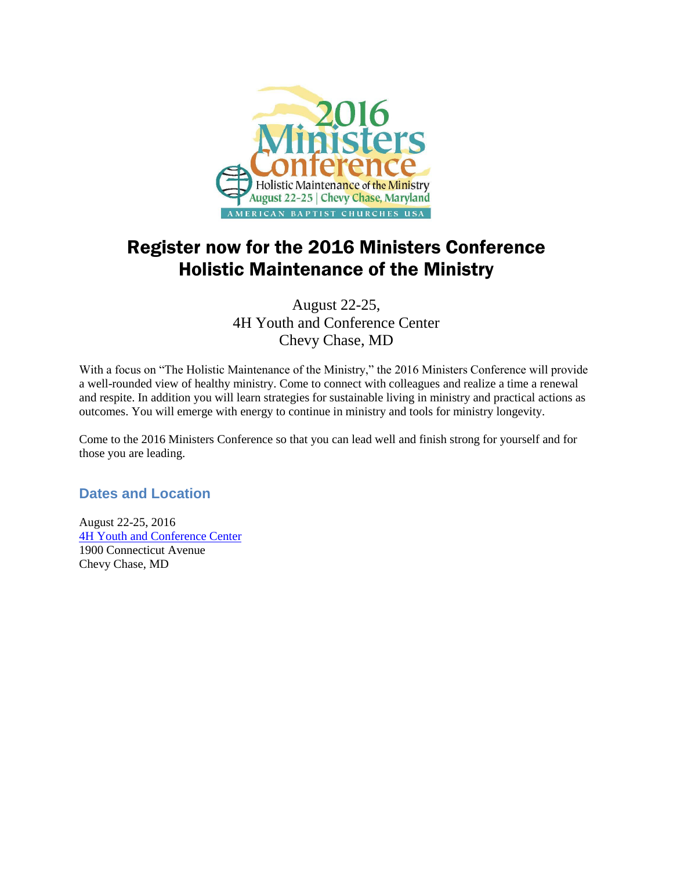

# Register now for the 2016 Ministers Conference Holistic Maintenance of the Ministry

August 22-25, 4H Youth and Conference Center Chevy Chase, MD

With a focus on "The Holistic Maintenance of the Ministry," the 2016 Ministers Conference will provide a well-rounded view of healthy ministry. Come to connect with colleagues and realize a time a renewal and respite. In addition you will learn strategies for sustainable living in ministry and practical actions as outcomes. You will emerge with energy to continue in ministry and tools for ministry longevity.

Come to the 2016 Ministers Conference so that you can lead well and finish strong for yourself and for those you are leading.

# **Dates and Location**

August 22-25, 2016 [4H Youth and Conference Center](http://www.4hcenter.org/) 1900 Connecticut Avenue Chevy Chase, MD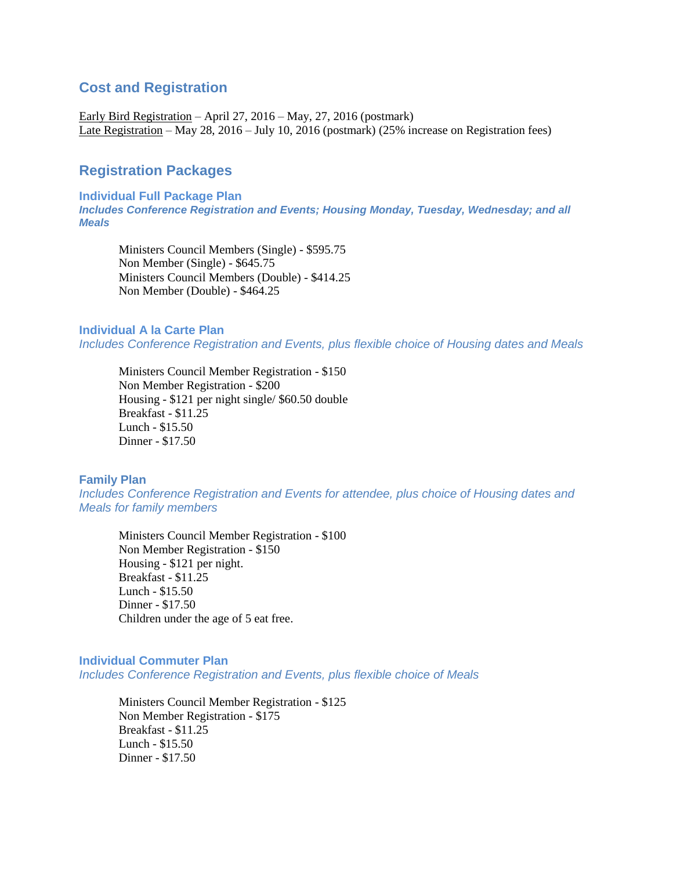### **Cost and Registration**

Early Bird Registration – April 27, 2016 – May, 27, 2016 (postmark) Late Registration – May 28, 2016 – July 10, 2016 (postmark) (25% increase on Registration fees)

## **Registration Packages**

**Individual Full Package Plan** *Includes Conference Registration and Events; Housing Monday, Tuesday, Wednesday; and all Meals*

Ministers Council Members (Single) - \$595.75 Non Member (Single) - \$645.75 Ministers Council Members (Double) - \$414.25 Non Member (Double) - \$464.25

#### **Individual A la Carte Plan**

*Includes Conference Registration and Events, plus flexible choice of Housing dates and Meals*

Ministers Council Member Registration - \$150 Non Member Registration - \$200 Housing - \$121 per night single/ \$60.50 double Breakfast - \$11.25 Lunch - \$15.50 Dinner - \$17.50

#### **Family Plan**

*Includes Conference Registration and Events for attendee, plus choice of Housing dates and Meals for family members*

Ministers Council Member Registration - \$100 Non Member Registration - \$150 Housing - \$121 per night. Breakfast - \$11.25 Lunch - \$15.50 Dinner - \$17.50 Children under the age of 5 eat free.

### **Individual Commuter Plan**

*Includes Conference Registration and Events, plus flexible choice of Meals*

Ministers Council Member Registration - \$125 Non Member Registration - \$175 Breakfast - \$11.25 Lunch - \$15.50 Dinner - \$17.50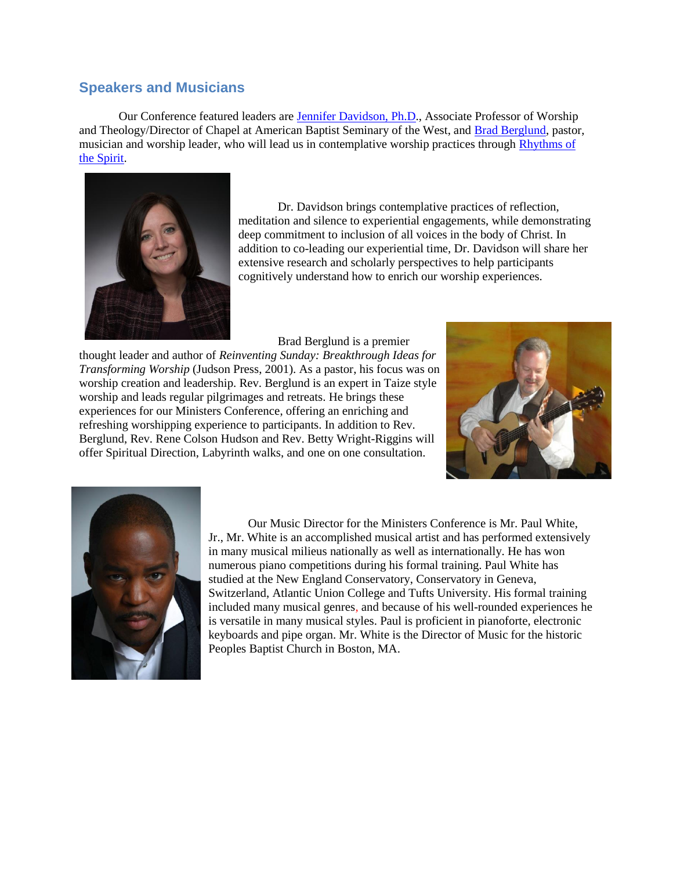### **Speakers and Musicians**

Our Conference featured leaders are [Jennifer Davidson, Ph.D.](http://www.absw.edu/staff-member/jennifer-w-davidson/), Associate Professor of Worship and Theology/Director of Chapel at American Baptist Seminary of the West, and [Brad Berglund,](http://www.reinventingsunday.com/brad_berglund_biography.htm) pastor, musician and worship leader, who will lead us in contemplative worship practices through [Rhythms of](http://www.rhythmsofthespirit.com/)  [the Spirit.](http://www.rhythmsofthespirit.com/)



Dr. Davidson brings contemplative practices of reflection, meditation and silence to experiential engagements, while demonstrating deep commitment to inclusion of all voices in the body of Christ. In addition to co-leading our experiential time, Dr. Davidson will share her extensive research and scholarly perspectives to help participants cognitively understand how to enrich our worship experiences.

Brad Berglund is a premier

thought leader and author of *Reinventing Sunday: Breakthrough Ideas for Transforming Worship* (Judson Press, 2001). As a pastor, his focus was on worship creation and leadership. Rev. Berglund is an expert in Taize style worship and leads regular pilgrimages and retreats. He brings these experiences for our Ministers Conference, offering an enriching and refreshing worshipping experience to participants. In addition to Rev. Berglund, Rev. Rene Colson Hudson and Rev. Betty Wright-Riggins will offer Spiritual Direction, Labyrinth walks, and one on one consultation.





Our Music Director for the Ministers Conference is Mr. Paul White, Jr., Mr. White is an accomplished musical artist and has performed extensively in many musical milieus nationally as well as internationally. He has won numerous piano competitions during his formal training. Paul White has studied at the New England Conservatory, Conservatory in Geneva, Switzerland, Atlantic Union College and Tufts University. His formal training included many musical genres, and because of his well-rounded experiences he is versatile in many musical styles. Paul is proficient in pianoforte, electronic keyboards and pipe organ. Mr. White is the Director of Music for the historic Peoples Baptist Church in Boston, MA.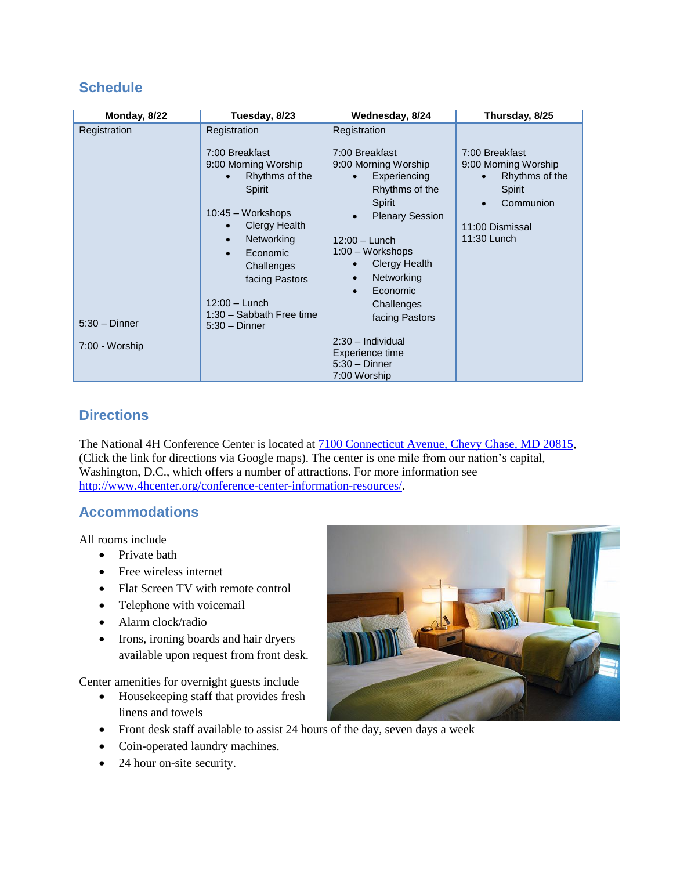# **Schedule**

# **Directions**

The National 4H Conference Center is located at [7100 Connecticut Avenue, Chevy Chase, MD 20815,](https://www.google.com/maps/place/7100+Connecticut+Ave,+Chevy+Chase,+MD+20815/@38.9811887,-77.0805095,17z/data=!3m1!4b1!4m2!3m1!1s0x89b7c90d24cbf1d5:0xb4d1407817535dce?hl=en) (Click the link for directions via Google maps). The center is one mile from our nation's capital, Washington, D.C., which offers a number of attractions. For more information see [http://www.4hcenter.org/conference-center-information-resources/.](http://www.4hcenter.org/conference-center-information-resources/)

# **Accommodations**

All rooms include

- Private bath
- Free wireless internet
- Flat Screen TV with remote control
- Telephone with voicemail
- Alarm clock/radio
- Irons, ironing boards and hair dryers available upon request from front desk.

Center amenities for overnight guests include

- Housekeeping staff that provides fresh linens and towels
- Front desk staff available to assist 24 hours of the day, seven days a week
- Coin-operated laundry machines.
- 24 hour on-site security.